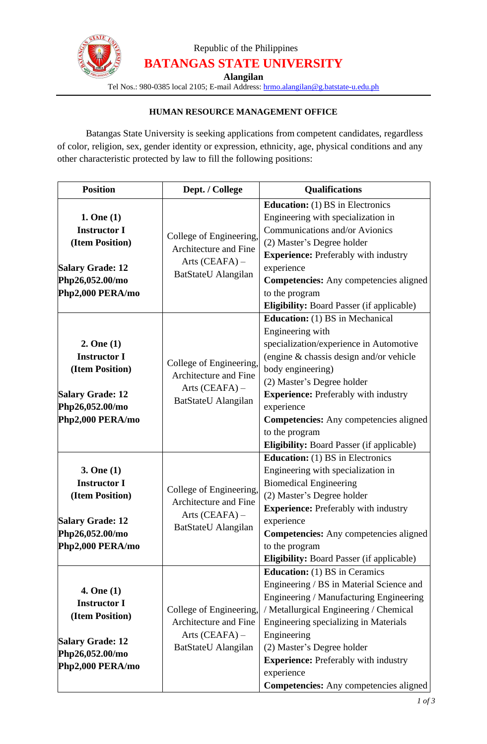

## Republic of the Philippines **BATANGAS STATE UNIVERSITY**

**Alangilan**

Tel Nos.: 980-0385 local 2105; E-mail Address: [hrmo.alangilan@g.batstate-u.edu.ph](mailto:hrmo.alangilan@g.batstate-u.edu.ph)

### **HUMAN RESOURCE MANAGEMENT OFFICE**

Batangas State University is seeking applications from competent candidates, regardless of color, religion, sex, gender identity or expression, ethnicity, age, physical conditions and any other characteristic protected by law to fill the following positions:

| <b>Position</b>                                                                                                        | Dept. / College                                                                                    | <b>Qualifications</b>                                                                                                                                                                                                                                                                                                                                                                   |
|------------------------------------------------------------------------------------------------------------------------|----------------------------------------------------------------------------------------------------|-----------------------------------------------------------------------------------------------------------------------------------------------------------------------------------------------------------------------------------------------------------------------------------------------------------------------------------------------------------------------------------------|
| 1. One(1)<br><b>Instructor I</b><br>(Item Position)<br><b>Salary Grade: 12</b><br>Php26,052.00/mo<br>Php2,000 PERA/mo  | College of Engineering,<br>Architecture and Fine<br>Arts $(CEAPA)$ –<br>BatStateU Alangilan        | <b>Education:</b> (1) BS in Electronics<br>Engineering with specialization in<br>Communications and/or Avionics<br>(2) Master's Degree holder<br><b>Experience:</b> Preferably with industry<br>experience<br><b>Competencies:</b> Any competencies aligned<br>to the program<br>Eligibility: Board Passer (if applicable)                                                              |
| 2. One(1)<br><b>Instructor I</b><br>(Item Position)<br><b>Salary Grade: 12</b><br>Php26,052.00/mo<br>Php2,000 PERA/mo  | College of Engineering,<br>Architecture and Fine<br>Arts (CEAFA) -<br>BatStateU Alangilan          | <b>Education:</b> (1) BS in Mechanical<br>Engineering with<br>specialization/experience in Automotive<br>(engine & chassis design and/or vehicle<br>body engineering)<br>(2) Master's Degree holder<br><b>Experience:</b> Preferably with industry<br>experience<br><b>Competencies:</b> Any competencies aligned<br>to the program<br><b>Eligibility: Board Passer (if applicable)</b> |
| 3. One(1)<br><b>Instructor I</b><br>(Item Position)<br><b>Salary Grade: 12</b><br>Php26,052.00/mo<br>Php2,000 PERA/mo  | College of Engineering,<br>Architecture and Fine<br>Arts $(CEAPA)$ –<br><b>BatStateU</b> Alangilan | <b>Education:</b> (1) BS in Electronics<br>Engineering with specialization in<br><b>Biomedical Engineering</b><br>(2) Master's Degree holder<br><b>Experience:</b> Preferably with industry<br>experience<br>Competencies: Any competencies aligned<br>to the program<br><b>Eligibility:</b> Board Passer (if applicable)                                                               |
| 4. One (1)<br><b>Instructor I</b><br>(Item Position)<br><b>Salary Grade: 12</b><br>Php26,052.00/mo<br>Php2,000 PERA/mo | College of Engineering,<br>Architecture and Fine<br>Arts $(CEAPA)$ –<br>BatStateU Alangilan        | <b>Education:</b> (1) BS in Ceramics<br>Engineering / BS in Material Science and<br>Engineering / Manufacturing Engineering<br>/ Metallurgical Engineering / Chemical<br>Engineering specializing in Materials<br>Engineering<br>(2) Master's Degree holder<br><b>Experience:</b> Preferably with industry<br>experience<br><b>Competencies:</b> Any competencies aligned               |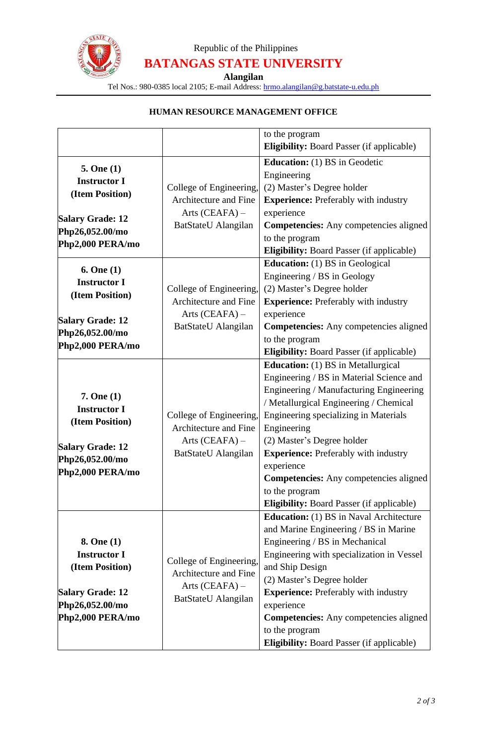

# Republic of the Philippines **BATANGAS STATE UNIVERSITY**

**Alangilan**

Tel Nos.: 980-0385 local 2105; E-mail Address: [hrmo.alangilan@g.batstate-u.edu.ph](mailto:hrmo.alangilan@g.batstate-u.edu.ph)

## **HUMAN RESOURCE MANAGEMENT OFFICE**

|                         |                         | to the program                                   |
|-------------------------|-------------------------|--------------------------------------------------|
|                         |                         | <b>Eligibility:</b> Board Passer (if applicable) |
| 5. One $(1)$            |                         | <b>Education:</b> (1) BS in Geodetic             |
| <b>Instructor I</b>     |                         | Engineering                                      |
| (Item Position)         | College of Engineering, | (2) Master's Degree holder                       |
|                         | Architecture and Fine   | <b>Experience:</b> Preferably with industry      |
| <b>Salary Grade: 12</b> | Arts $(CEAPA)$ –        | experience                                       |
| Php26,052.00/mo         | BatStateU Alangilan     | <b>Competencies:</b> Any competencies aligned    |
| Php2,000 PERA/mo        |                         | to the program                                   |
|                         |                         | <b>Eligibility:</b> Board Passer (if applicable) |
| 6. One $(1)$            |                         | <b>Education:</b> (1) BS in Geological           |
| <b>Instructor I</b>     |                         | Engineering / BS in Geology                      |
| (Item Position)         | College of Engineering, | (2) Master's Degree holder                       |
|                         | Architecture and Fine   | <b>Experience:</b> Preferably with industry      |
| <b>Salary Grade: 12</b> | Arts $(CEAPA)$ –        | experience                                       |
| Php26,052.00/mo         | BatStateU Alangilan     | <b>Competencies:</b> Any competencies aligned    |
| Php2,000 PERA/mo        |                         | to the program                                   |
|                         |                         | Eligibility: Board Passer (if applicable)        |
| 7. One (1)              |                         | <b>Education:</b> (1) BS in Metallurgical        |
|                         |                         | Engineering / BS in Material Science and         |
|                         |                         | Engineering / Manufacturing Engineering          |
| <b>Instructor I</b>     |                         | / Metallurgical Engineering / Chemical           |
| (Item Position)         | College of Engineering, | Engineering specializing in Materials            |
|                         | Architecture and Fine   | Engineering                                      |
| <b>Salary Grade: 12</b> | Arts (CEAFA) -          | (2) Master's Degree holder                       |
| Php26,052.00/mo         | BatStateU Alangilan     | <b>Experience:</b> Preferably with industry      |
| Php2,000 PERA/mo        |                         | experience                                       |
|                         |                         | <b>Competencies:</b> Any competencies aligned    |
|                         |                         | to the program                                   |
|                         |                         | Eligibility: Board Passer (if applicable)        |
|                         |                         | <b>Education:</b> (1) BS in Naval Architecture   |
|                         |                         | and Marine Engineering / BS in Marine            |
| 8. One (1)              |                         | Engineering / BS in Mechanical                   |
| <b>Instructor I</b>     | College of Engineering, | Engineering with specialization in Vessel        |
| (Item Position)         | Architecture and Fine   | and Ship Design                                  |
|                         | Arts $(CEAFA)$ –        | (2) Master's Degree holder                       |
| <b>Salary Grade: 12</b> | BatStateU Alangilan     | <b>Experience:</b> Preferably with industry      |
| Php26,052.00/mo         |                         | experience                                       |
| Php2,000 PERA/mo        |                         | <b>Competencies:</b> Any competencies aligned    |
|                         |                         | to the program                                   |
|                         |                         | Eligibility: Board Passer (if applicable)        |